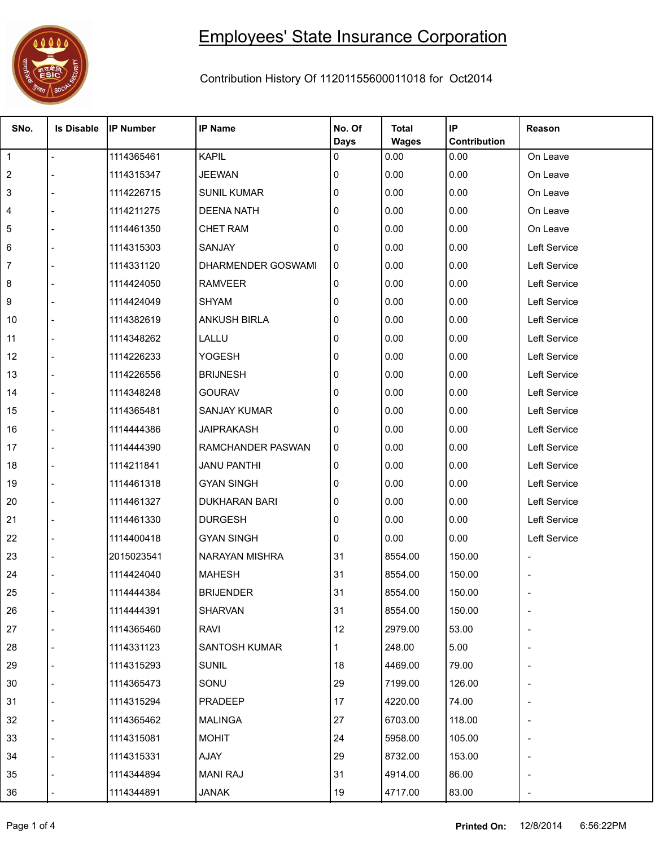

## Employees' State Insurance Corporation

## Contribution History Of 11201155600011018 for Oct2014

| SNo.           | <b>Is Disable</b> | <b>IP Number</b> | <b>IP Name</b>       | No. Of<br><b>Days</b> | <b>Total</b><br><b>Wages</b> | IP<br>Contribution | Reason       |
|----------------|-------------------|------------------|----------------------|-----------------------|------------------------------|--------------------|--------------|
| $\overline{1}$ | $\overline{a}$    | 1114365461       | <b>KAPIL</b>         | 0                     | 0.00                         | 0.00               | On Leave     |
| $\overline{2}$ |                   | 1114315347       | <b>JEEWAN</b>        | 0                     | 0.00                         | 0.00               | On Leave     |
| 3              |                   | 1114226715       | <b>SUNIL KUMAR</b>   | 0                     | 0.00                         | 0.00               | On Leave     |
| 4              |                   | 1114211275       | <b>DEENA NATH</b>    | 0                     | 0.00                         | 0.00               | On Leave     |
| 5              |                   | 1114461350       | <b>CHET RAM</b>      | 0                     | 0.00                         | 0.00               | On Leave     |
| 6              |                   | 1114315303       | SANJAY               | 0                     | 0.00                         | 0.00               | Left Service |
| 7              |                   | 1114331120       | DHARMENDER GOSWAMI   | 0                     | 0.00                         | 0.00               | Left Service |
| 8              |                   | 1114424050       | <b>RAMVEER</b>       | $\mathbf{0}$          | 0.00                         | 0.00               | Left Service |
| 9              |                   | 1114424049       | <b>SHYAM</b>         | 0                     | 0.00                         | 0.00               | Left Service |
| 10             |                   | 1114382619       | <b>ANKUSH BIRLA</b>  | 0                     | 0.00                         | 0.00               | Left Service |
| 11             |                   | 1114348262       | LALLU                | 0                     | 0.00                         | 0.00               | Left Service |
| 12             |                   | 1114226233       | <b>YOGESH</b>        | 0                     | 0.00                         | 0.00               | Left Service |
| 13             |                   | 1114226556       | <b>BRIJNESH</b>      | 0                     | 0.00                         | 0.00               | Left Service |
| 14             |                   | 1114348248       | <b>GOURAV</b>        | 0                     | 0.00                         | 0.00               | Left Service |
| 15             |                   | 1114365481       | <b>SANJAY KUMAR</b>  | 0                     | 0.00                         | 0.00               | Left Service |
| 16             |                   | 1114444386       | <b>JAIPRAKASH</b>    | 0                     | 0.00                         | 0.00               | Left Service |
| 17             |                   | 1114444390       | RAMCHANDER PASWAN    | 0                     | 0.00                         | 0.00               | Left Service |
| 18             |                   | 1114211841       | <b>JANU PANTHI</b>   | $\mathbf{0}$          | 0.00                         | 0.00               | Left Service |
| 19             |                   | 1114461318       | <b>GYAN SINGH</b>    | 0                     | 0.00                         | 0.00               | Left Service |
| 20             |                   | 1114461327       | <b>DUKHARAN BARI</b> | 0                     | 0.00                         | 0.00               | Left Service |
| 21             |                   | 1114461330       | <b>DURGESH</b>       | 0                     | 0.00                         | 0.00               | Left Service |
| 22             |                   | 1114400418       | <b>GYAN SINGH</b>    | 0                     | 0.00                         | 0.00               | Left Service |
| 23             |                   | 2015023541       | NARAYAN MISHRA       | 31                    | 8554.00                      | 150.00             |              |
| 24             |                   | 1114424040       | <b>MAHESH</b>        | 31                    | 8554.00                      | 150.00             |              |
| 25             |                   | 1114444384       | <b>BRIJENDER</b>     | 31                    | 8554.00                      | 150.00             |              |
| 26             |                   | 1114444391       | <b>SHARVAN</b>       | 31                    | 8554.00                      | 150.00             |              |
| 27             |                   | 1114365460       | RAVI                 | 12                    | 2979.00                      | 53.00              |              |
| 28             |                   | 1114331123       | SANTOSH KUMAR        |                       | 248.00                       | 5.00               |              |
| 29             |                   | 1114315293       | <b>SUNIL</b>         | 18                    | 4469.00                      | 79.00              |              |
| 30             |                   | 1114365473       | SONU                 | 29                    | 7199.00                      | 126.00             |              |
| 31             |                   | 1114315294       | PRADEEP              | 17                    | 4220.00                      | 74.00              |              |
| 32             |                   | 1114365462       | <b>MALINGA</b>       | 27                    | 6703.00                      | 118.00             |              |
| 33             |                   | 1114315081       | <b>MOHIT</b>         | 24                    | 5958.00                      | 105.00             |              |
| 34             |                   | 1114315331       | AJAY                 | 29                    | 8732.00                      | 153.00             |              |
| 35             |                   | 1114344894       | <b>MANI RAJ</b>      | 31                    | 4914.00                      | 86.00              |              |
| 36             |                   | 1114344891       | <b>JANAK</b>         | 19                    | 4717.00                      | 83.00              |              |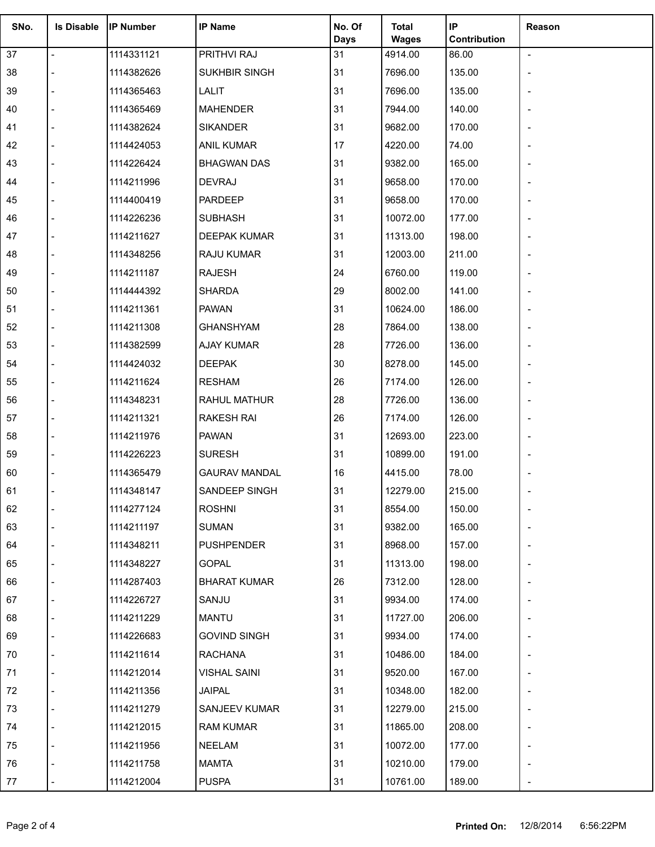| SNo. | <b>Is Disable</b> | <b>IP Number</b> | <b>IP Name</b>       | No. Of            | <b>Total</b>            | IP                    | Reason                   |
|------|-------------------|------------------|----------------------|-------------------|-------------------------|-----------------------|--------------------------|
| 37   | $\overline{a}$    | 1114331121       | PRITHVI RAJ          | <b>Days</b><br>31 | <b>Wages</b><br>4914.00 | Contribution<br>86.00 | $\blacksquare$           |
| 38   |                   | 1114382626       | SUKHBIR SINGH        | 31                | 7696.00                 | 135.00                |                          |
| 39   |                   | 1114365463       | LALIT                | 31                | 7696.00                 | 135.00                |                          |
| 40   |                   | 1114365469       | <b>MAHENDER</b>      | 31                | 7944.00                 | 140.00                |                          |
| 41   |                   | 1114382624       | <b>SIKANDER</b>      | 31                | 9682.00                 | 170.00                |                          |
| 42   |                   | 1114424053       | <b>ANIL KUMAR</b>    | 17                | 4220.00                 | 74.00                 | $\overline{\phantom{0}}$ |
| 43   |                   | 1114226424       | <b>BHAGWAN DAS</b>   | 31                | 9382.00                 | 165.00                |                          |
| 44   |                   | 1114211996       | <b>DEVRAJ</b>        | 31                | 9658.00                 | 170.00                |                          |
| 45   |                   | 1114400419       | PARDEEP              | 31                | 9658.00                 | 170.00                |                          |
| 46   |                   | 1114226236       | <b>SUBHASH</b>       | 31                | 10072.00                | 177.00                |                          |
| 47   |                   | 1114211627       | DEEPAK KUMAR         | 31                | 11313.00                | 198.00                |                          |
| 48   |                   | 1114348256       | RAJU KUMAR           | 31                | 12003.00                | 211.00                |                          |
| 49   |                   | 1114211187       | <b>RAJESH</b>        | 24                | 6760.00                 | 119.00                |                          |
| 50   |                   | 1114444392       | <b>SHARDA</b>        | 29                | 8002.00                 | 141.00                |                          |
| 51   |                   | 1114211361       | <b>PAWAN</b>         | 31                | 10624.00                | 186.00                |                          |
| 52   |                   | 1114211308       | <b>GHANSHYAM</b>     | 28                | 7864.00                 | 138.00                |                          |
| 53   |                   | 1114382599       | AJAY KUMAR           | 28                | 7726.00                 | 136.00                |                          |
| 54   |                   | 1114424032       | <b>DEEPAK</b>        | 30                | 8278.00                 | 145.00                |                          |
| 55   |                   | 1114211624       | <b>RESHAM</b>        | 26                | 7174.00                 | 126.00                |                          |
| 56   |                   | 1114348231       | RAHUL MATHUR         | 28                | 7726.00                 | 136.00                |                          |
| 57   |                   | 1114211321       | <b>RAKESH RAI</b>    | 26                | 7174.00                 | 126.00                |                          |
| 58   |                   | 1114211976       | <b>PAWAN</b>         | 31                | 12693.00                | 223.00                |                          |
| 59   |                   | 1114226223       | <b>SURESH</b>        | 31                | 10899.00                | 191.00                |                          |
| 60   |                   | 1114365479       | <b>GAURAV MANDAL</b> | 16                | 4415.00                 | 78.00                 |                          |
| 61   |                   | 1114348147       | <b>SANDEEP SINGH</b> | 31                | 12279.00                | 215.00                |                          |
| 62   |                   | 1114277124       | <b>ROSHNI</b>        | 31                | 8554.00                 | 150.00                |                          |
| 63   |                   | 1114211197       | <b>SUMAN</b>         | 31                | 9382.00                 | 165.00                |                          |
| 64   |                   | 1114348211       | <b>PUSHPENDER</b>    | 31                | 8968.00                 | 157.00                |                          |
| 65   |                   | 1114348227       | <b>GOPAL</b>         | 31                | 11313.00                | 198.00                |                          |
| 66   |                   | 1114287403       | <b>BHARAT KUMAR</b>  | 26                | 7312.00                 | 128.00                |                          |
| 67   |                   | 1114226727       | SANJU                | 31                | 9934.00                 | 174.00                |                          |
| 68   |                   | 1114211229       | MANTU                | 31                | 11727.00                | 206.00                |                          |
| 69   |                   | 1114226683       | <b>GOVIND SINGH</b>  | 31                | 9934.00                 | 174.00                |                          |
| 70   |                   | 1114211614       | <b>RACHANA</b>       | 31                | 10486.00                | 184.00                |                          |
| 71   |                   | 1114212014       | <b>VISHAL SAINI</b>  | 31                | 9520.00                 | 167.00                |                          |
| 72   |                   | 1114211356       | JAIPAL               | 31                | 10348.00                | 182.00                |                          |
| 73   |                   | 1114211279       | SANJEEV KUMAR        | 31                | 12279.00                | 215.00                |                          |
| 74   |                   | 1114212015       | <b>RAM KUMAR</b>     | 31                | 11865.00                | 208.00                |                          |
| 75   |                   | 1114211956       | NEELAM               | 31                | 10072.00                | 177.00                |                          |
| 76   |                   | 1114211758       | <b>MAMTA</b>         | 31                | 10210.00                | 179.00                |                          |
| 77   |                   | 1114212004       | <b>PUSPA</b>         | 31                | 10761.00                | 189.00                |                          |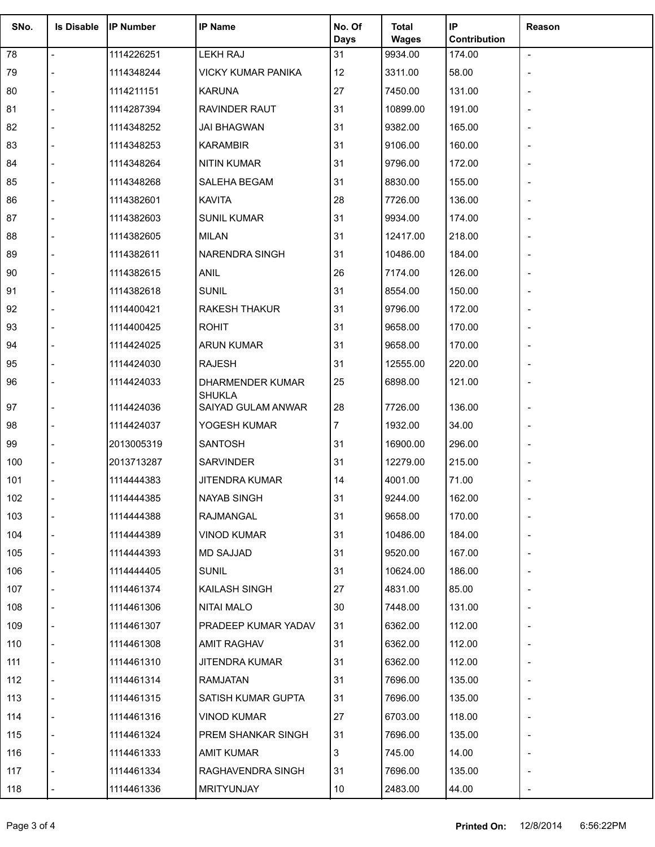| SNo. | <b>Is Disable</b> | <b>IP Number</b> | <b>IP Name</b>                      | No. Of<br>Days | <b>Total</b><br><b>Wages</b> | IP<br>Contribution | Reason                   |
|------|-------------------|------------------|-------------------------------------|----------------|------------------------------|--------------------|--------------------------|
| 78   | $\blacksquare$    | 1114226251       | <b>LEKH RAJ</b>                     | 31             | 9934.00                      | 174.00             | $\blacksquare$           |
| 79   |                   | 1114348244       | <b>VICKY KUMAR PANIKA</b>           | 12             | 3311.00                      | 58.00              |                          |
| 80   |                   | 1114211151       | <b>KARUNA</b>                       | 27             | 7450.00                      | 131.00             |                          |
| 81   |                   | 1114287394       | <b>RAVINDER RAUT</b>                | 31             | 10899.00                     | 191.00             |                          |
| 82   |                   | 1114348252       | <b>JAI BHAGWAN</b>                  | 31             | 9382.00                      | 165.00             |                          |
| 83   |                   | 1114348253       | <b>KARAMBIR</b>                     | 31             | 9106.00                      | 160.00             |                          |
| 84   |                   | 1114348264       | <b>NITIN KUMAR</b>                  | 31             | 9796.00                      | 172.00             |                          |
| 85   |                   | 1114348268       | SALEHA BEGAM                        | 31             | 8830.00                      | 155.00             | $\overline{a}$           |
| 86   |                   | 1114382601       | <b>KAVITA</b>                       | 28             | 7726.00                      | 136.00             |                          |
| 87   |                   | 1114382603       | <b>SUNIL KUMAR</b>                  | 31             | 9934.00                      | 174.00             |                          |
| 88   |                   | 1114382605       | <b>MILAN</b>                        | 31             | 12417.00                     | 218.00             |                          |
| 89   |                   | 1114382611       | <b>NARENDRA SINGH</b>               | 31             | 10486.00                     | 184.00             |                          |
| 90   |                   | 1114382615       | <b>ANIL</b>                         | 26             | 7174.00                      | 126.00             | $\overline{\phantom{0}}$ |
| 91   |                   | 1114382618       | <b>SUNIL</b>                        | 31             | 8554.00                      | 150.00             |                          |
| 92   |                   | 1114400421       | <b>RAKESH THAKUR</b>                | 31             | 9796.00                      | 172.00             |                          |
| 93   |                   | 1114400425       | <b>ROHIT</b>                        | 31             | 9658.00                      | 170.00             |                          |
| 94   |                   | 1114424025       | <b>ARUN KUMAR</b>                   | 31             | 9658.00                      | 170.00             |                          |
| 95   |                   | 1114424030       | <b>RAJESH</b>                       | 31             | 12555.00                     | 220.00             |                          |
| 96   |                   | 1114424033       | DHARMENDER KUMAR                    | 25             | 6898.00                      | 121.00             |                          |
| 97   |                   | 1114424036       | <b>SHUKLA</b><br>SAIYAD GULAM ANWAR | 28             | 7726.00                      | 136.00             | $\overline{\phantom{0}}$ |
| 98   |                   | 1114424037       | YOGESH KUMAR                        | $\overline{7}$ | 1932.00                      | 34.00              | $\overline{a}$           |
| 99   |                   | 2013005319       | <b>SANTOSH</b>                      | 31             | 16900.00                     | 296.00             |                          |
| 100  |                   | 2013713287       | <b>SARVINDER</b>                    | 31             | 12279.00                     | 215.00             |                          |
| 101  |                   | 1114444383       | <b>JITENDRA KUMAR</b>               | 14             | 4001.00                      | 71.00              |                          |
| 102  |                   | 1114444385       | <b>NAYAB SINGH</b>                  | 31             | 9244.00                      | 162.00             |                          |
| 103  |                   | 1114444388       | RAJMANGAL                           | 31             | 9658.00                      | 170.00             |                          |
| 104  |                   | 1114444389       | <b>VINOD KUMAR</b>                  | 31             | 10486.00                     | 184.00             |                          |
| 105  |                   | 1114444393       | <b>MD SAJJAD</b>                    | 31             | 9520.00                      | 167.00             |                          |
| 106  |                   | 1114444405       | <b>SUNIL</b>                        | 31             | 10624.00                     | 186.00             |                          |
| 107  |                   | 1114461374       | KAILASH SINGH                       | 27             | 4831.00                      | 85.00              |                          |
| 108  |                   | 1114461306       | <b>NITAI MALO</b>                   | 30             | 7448.00                      | 131.00             |                          |
| 109  |                   | 1114461307       | PRADEEP KUMAR YADAV                 | 31             | 6362.00                      | 112.00             |                          |
| 110  |                   | 1114461308       | AMIT RAGHAV                         | 31             | 6362.00                      | 112.00             |                          |
| 111  |                   | 1114461310       | JITENDRA KUMAR                      | 31             | 6362.00                      | 112.00             |                          |
| 112  |                   | 1114461314       | RAMJATAN                            | 31             | 7696.00                      | 135.00             |                          |
| 113  |                   | 1114461315       | SATISH KUMAR GUPTA                  | 31             | 7696.00                      | 135.00             |                          |
| 114  |                   | 1114461316       | <b>VINOD KUMAR</b>                  | 27             | 6703.00                      | 118.00             |                          |
| 115  |                   | 1114461324       | <b>PREM SHANKAR SINGH</b>           | 31             | 7696.00                      | 135.00             |                          |
| 116  |                   | 1114461333       | <b>AMIT KUMAR</b>                   | 3              | 745.00                       | 14.00              |                          |
| 117  |                   | 1114461334       | RAGHAVENDRA SINGH                   | 31             | 7696.00                      | 135.00             |                          |
| 118  |                   | 1114461336       | <b>MRITYUNJAY</b>                   | 10             | 2483.00                      | 44.00              | $\overline{a}$           |